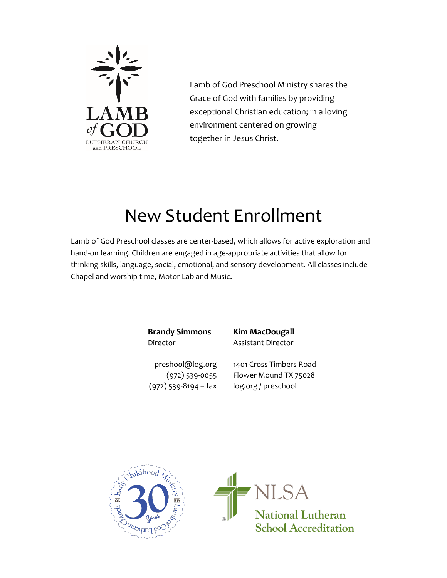

Lamb of God Preschool Ministry shares the Grace of God with families by providing exceptional Christian education; in a loving environment centered on growing together in Jesus Christ.

# New Student Enrollment

Lamb of God Preschool classes are center-based, which allows for active exploration and hand-on learning. Children are engaged in age-appropriate activities that allow for thinking skills, language, social, emotional, and sensory development. All classes include Chapel and worship time, Motor Lab and Music.

> **Brandy Simmons Kim MacDougall** Director Assistant Director

 $(972)$  539-8194 – fax  $\vert$  log.org / preschool

preshool@log.org | 1401 Cross Timbers Road  $(972)$  539-0055 Flower Mound TX 75028



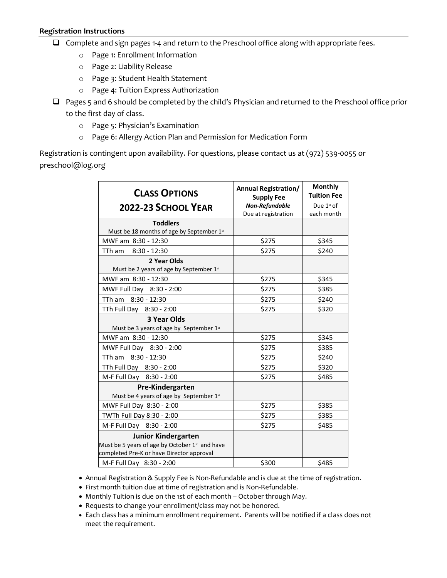- ❑ Complete and sign pages 1-4 and return to the Preschool office along with appropriate fees.
	- o Page 1: Enrollment Information
	- o Page 2: Liability Release
	- o Page 3: Student Health Statement
	- o Page 4: Tuition Express Authorization
- ❑ Pages 5 and 6 should be completed by the child's Physician and returned to the Preschool office prior to the first day of class.
	- o Page 5: Physician's Examination
	- o Page 6: Allergy Action Plan and Permission for Medication Form

Registration is contingent upon availability. For questions, please contact us at (972) 539-0055 or preschool@log.org

| <b>CLASS OPTIONS</b><br>2022-23 SCHOOL YEAR                                                                                           | <b>Annual Registration/</b><br><b>Supply Fee</b><br>Non-Refundable<br>Due at registration | <b>Monthly</b><br><b>Tuition Fee</b><br>Due $1st$ of<br>each month |
|---------------------------------------------------------------------------------------------------------------------------------------|-------------------------------------------------------------------------------------------|--------------------------------------------------------------------|
| <b>Toddlers</b>                                                                                                                       |                                                                                           |                                                                    |
| Must be 18 months of age by September 1st                                                                                             |                                                                                           |                                                                    |
| MWF am 8:30 - 12:30                                                                                                                   | \$275                                                                                     | \$345                                                              |
| $8:30 - 12:30$<br>TTh am                                                                                                              | \$275                                                                                     | \$240                                                              |
| 2 Year Olds<br>Must be 2 years of age by September 1st                                                                                |                                                                                           |                                                                    |
| MWF am 8:30 - 12:30                                                                                                                   | \$275                                                                                     | \$345                                                              |
| MWF Full Day 8:30 - 2:00                                                                                                              | \$275                                                                                     | \$385                                                              |
| TTh am 8:30 - 12:30                                                                                                                   | \$275                                                                                     | \$240                                                              |
| TTh Full Day 8:30 - 2:00                                                                                                              | \$275                                                                                     | \$320                                                              |
| 3 Year Olds                                                                                                                           |                                                                                           |                                                                    |
| Must be 3 years of age by September $1st$                                                                                             |                                                                                           |                                                                    |
| MWF am 8:30 - 12:30                                                                                                                   | \$275                                                                                     | \$345                                                              |
| MWF Full Day 8:30 - 2:00                                                                                                              | \$275                                                                                     | \$385                                                              |
| TTh am 8:30 - 12:30                                                                                                                   | \$275                                                                                     | \$240                                                              |
| TTh Full Day 8:30 - 2:00                                                                                                              | \$275                                                                                     | \$320                                                              |
| M-F Full Day 8:30 - 2:00                                                                                                              | \$275                                                                                     | \$485                                                              |
| Pre-Kindergarten<br>Must be 4 years of age by September 1st                                                                           |                                                                                           |                                                                    |
| MWF Full Day 8:30 - 2:00                                                                                                              | \$275                                                                                     | \$385                                                              |
| TWTh Full Day 8:30 - 2:00                                                                                                             | \$275                                                                                     | \$385                                                              |
| M-F Full Day 8:30 - 2:00                                                                                                              | \$275                                                                                     | \$485                                                              |
| <b>Junior Kindergarten</b><br>Must be 5 years of age by October 1 <sup>st</sup> and have<br>completed Pre-K or have Director approval |                                                                                           |                                                                    |
| M-F Full Day 8:30 - 2:00                                                                                                              | \$300                                                                                     | \$485                                                              |

- Annual Registration & Supply Fee is Non-Refundable and is due at the time of registration.
- First month tuition due at time of registration and is Non-Refundable.
- Monthly Tuition is due on the 1st of each month October through May.
- Requests to change your enrollment/class may not be honored.
- Each class has a minimum enrollment requirement. Parents will be notified if a class does not meet the requirement.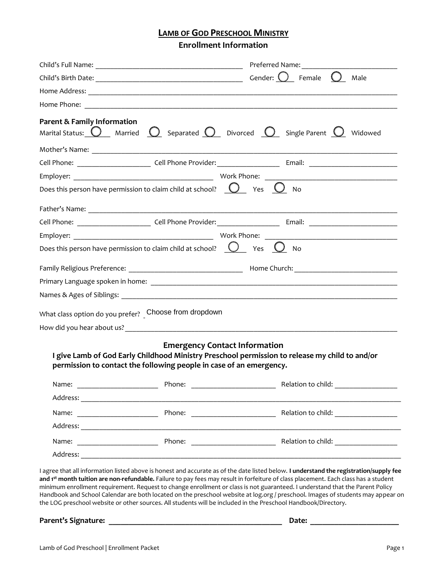## **LAMB OF GOD PRESCHOOL MINISTRY**

**Enrollment Information**

| <b>Parent &amp; Family Information</b>                |                                                                                                             | Marital Status: $\bigcirc$ Married $\bigcirc$ Separated $\bigcirc$ Divorced $\bigcirc$ Single Parent $\bigcirc$ Widowed |
|-------------------------------------------------------|-------------------------------------------------------------------------------------------------------------|-------------------------------------------------------------------------------------------------------------------------|
|                                                       |                                                                                                             |                                                                                                                         |
|                                                       |                                                                                                             |                                                                                                                         |
|                                                       |                                                                                                             |                                                                                                                         |
|                                                       | Does this person have permission to claim child at school? $\bigcirc$ Yes $\bigcirc$ No                     |                                                                                                                         |
|                                                       |                                                                                                             |                                                                                                                         |
|                                                       |                                                                                                             |                                                                                                                         |
|                                                       |                                                                                                             |                                                                                                                         |
|                                                       | Does this person have permission to claim child at school? $\bigcirc$ Yes $\bigcirc$ No                     |                                                                                                                         |
|                                                       |                                                                                                             |                                                                                                                         |
|                                                       |                                                                                                             |                                                                                                                         |
|                                                       |                                                                                                             |                                                                                                                         |
|                                                       |                                                                                                             |                                                                                                                         |
| What class option do you prefer? Choose from dropdown |                                                                                                             |                                                                                                                         |
|                                                       |                                                                                                             |                                                                                                                         |
|                                                       | <b>Emergency Contact Information</b><br>permission to contact the following people in case of an emergency. | I give Lamb of God Early Childhood Ministry Preschool permission to release my child to and/or                          |
| Name:                                                 |                                                                                                             |                                                                                                                         |
|                                                       |                                                                                                             |                                                                                                                         |
| Name:                                                 |                                                                                                             |                                                                                                                         |
|                                                       |                                                                                                             |                                                                                                                         |
| Name:                                                 |                                                                                                             |                                                                                                                         |
|                                                       |                                                                                                             |                                                                                                                         |

**and 1st month tuition are non-refundable.** Failure to pay fees may result in forfeiture of class placement. Each class has a student minimum enrollment requirement. Request to change enrollment or class is not guaranteed. I understand that the Parent Policy Handbook and School Calendar are both located on the preschool website at log.org / preschool. Images of students may appear on the LOG preschool website or other sources. All students will be included in the Preschool Handbook/Directory.

**Parent's Signature: \_\_\_\_\_\_\_\_\_\_\_\_\_\_\_\_\_\_\_\_\_\_\_\_\_\_\_\_\_\_\_\_\_\_\_\_\_\_\_\_\_\_\_ Date: \_\_\_\_\_\_\_\_\_\_\_\_\_\_\_\_\_\_\_\_\_\_**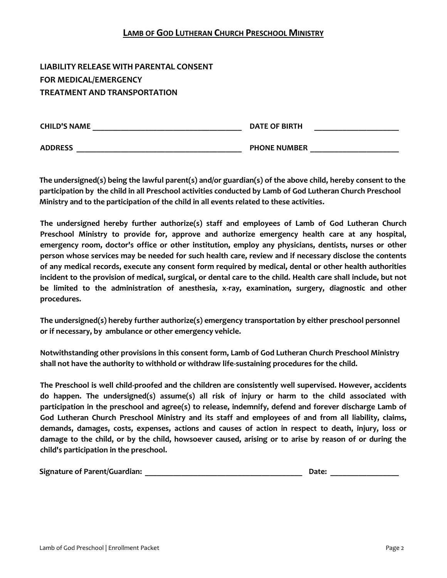# **LIABILITY RELEASE WITH PARENTAL CONSENT FOR MEDICAL/EMERGENCY TREATMENT AND TRANSPORTATION**

| <b>CHILD'S NAME</b> | <b>DATE OF BIRTH</b> |  |
|---------------------|----------------------|--|
| <b>ADDRESS</b>      | <b>PHONE NUMBER</b>  |  |

**The undersigned(s) being the lawful parent(s) and/or guardian(s) of the above child, hereby consent to the participation by the child in all Preschool activities conducted by Lamb of God Lutheran Church Preschool Ministry and to the participation of the child in all events related to these activities.**

**The undersigned hereby further authorize(s) staff and employees of Lamb of God Lutheran Church Preschool Ministry to provide for, approve and authorize emergency health care at any hospital, emergency room, doctor's office or other institution, employ any physicians, dentists, nurses or other person whose services may be needed for such health care, review and if necessary disclose the contents of any medical records, execute any consent form required by medical, dental or other health authorities incident to the provision of medical, surgical, or dental care to the child. Health care shall include, but not be limited to the administration of anesthesia, x-ray, examination, surgery, diagnostic and other procedures.**

**The undersigned(s) hereby further authorize(s) emergency transportation by either preschool personnel or if necessary, by ambulance or other emergency vehicle.**

**Notwithstanding other provisions in this consent form, Lamb of God Lutheran Church Preschool Ministry shall not have the authority to withhold or withdraw life-sustaining procedures for the child.**

**The Preschool is well child-proofed and the children are consistently well supervised. However, accidents do happen. The undersigned(s) assume(s) all risk of injury or harm to the child associated with participation in the preschool and agree(s) to release, indemnify, defend and forever discharge Lamb of God Lutheran Church Preschool Ministry and its staff and employees of and from all liability, claims, demands, damages, costs, expenses, actions and causes of action in respect to death, injury, loss or damage to the child, or by the child, howsoever caused, arising or to arise by reason of or during the child's participation in the preschool.**

| <b>Signature of Parent/Guardian:</b><br>Date |  |
|----------------------------------------------|--|
|----------------------------------------------|--|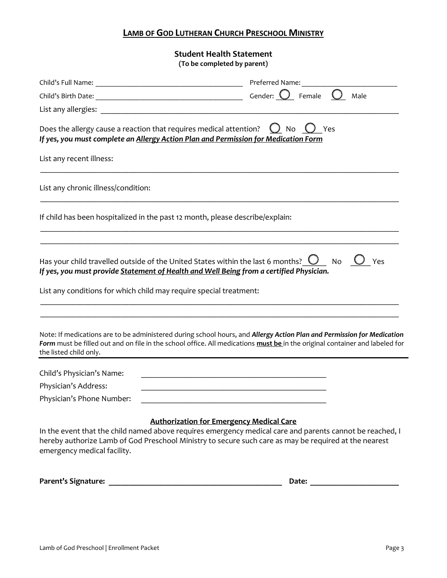**Student Health Statement (To be completed by parent)**

|                                                                               | Preferred Name:                                                                                                                                                                                                                                                      |
|-------------------------------------------------------------------------------|----------------------------------------------------------------------------------------------------------------------------------------------------------------------------------------------------------------------------------------------------------------------|
|                                                                               | Male                                                                                                                                                                                                                                                                 |
|                                                                               |                                                                                                                                                                                                                                                                      |
| Does the allergy cause a reaction that requires medical attention?            | $O$ No $O$<br>Yes<br>If yes, you must complete an Allergy Action Plan and Permission for Medication Form                                                                                                                                                             |
| List any recent illness:                                                      |                                                                                                                                                                                                                                                                      |
| List any chronic illness/condition:                                           |                                                                                                                                                                                                                                                                      |
| If child has been hospitalized in the past 12 month, please describe/explain: |                                                                                                                                                                                                                                                                      |
| List any conditions for which child may require special treatment:            | Has your child travelled outside of the United States within the last 6 months? $\bigcup$ No<br>Yes<br>If yes, you must provide Statement of Health and Well Being from a certified Physician.                                                                       |
| the listed child only.                                                        | Note: If medications are to be administered during school hours, and Allergy Action Plan and Permission for Medication<br>Form must be filled out and on file in the school office. All medications must be in the original container and labeled for                |
| Child's Physician's Name:                                                     |                                                                                                                                                                                                                                                                      |
| Physician's Address:                                                          | <u> 1989 - Johann Stein, marwolaethau a bhann an t-Amhainn an t-Amhainn an t-Amhainn an t-Amhainn an t-Amhainn a</u>                                                                                                                                                 |
| Physician's Phone Number:                                                     |                                                                                                                                                                                                                                                                      |
| emergency medical facility.                                                   | <b>Authorization for Emergency Medical Care</b><br>In the event that the child named above requires emergency medical care and parents cannot be reached, I<br>hereby authorize Lamb of God Preschool Ministry to secure such care as may be required at the nearest |
| Parent's Signature:                                                           | Date:                                                                                                                                                                                                                                                                |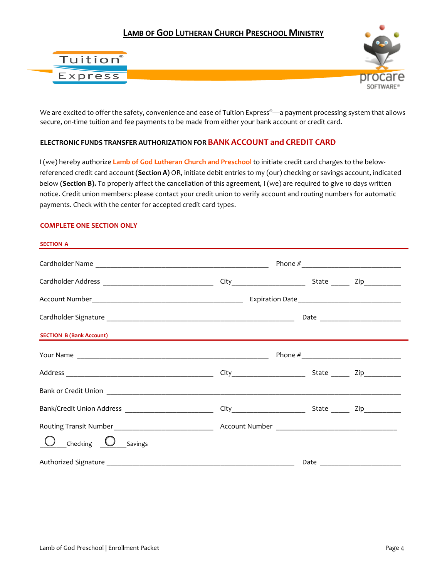



We are excited to offer the safety, convenience and ease of Tuition Express®—a payment processing system that allows secure, on-time tuition and fee payments to be made from either your bank account or credit card.

#### **ELECTRONIC FUNDS TRANSFER AUTHORIZATION FORBANK ACCOUNT and CREDIT CARD**

I (we) hereby authorize **Lamb of God Lutheran Church and Preschool** to initiate credit card charges to the belowreferenced credit card account **(Section A)** OR, initiate debit entries to my (our) checking or savings account, indicated below **(Section B).** To properly affect the cancellation of this agreement, I (we) are required to give 10 days written notice. Credit union members: please contact your credit union to verify account and routing numbers for automatic payments. Check with the center for accepted credit card types.

#### **COMPLETE ONE SECTION ONLY**

| <b>SECTION A</b>                                                   |  |  |  |  |
|--------------------------------------------------------------------|--|--|--|--|
|                                                                    |  |  |  |  |
|                                                                    |  |  |  |  |
|                                                                    |  |  |  |  |
|                                                                    |  |  |  |  |
|                                                                    |  |  |  |  |
|                                                                    |  |  |  |  |
|                                                                    |  |  |  |  |
|                                                                    |  |  |  |  |
| Bank/Credit Union Address ____________________________             |  |  |  |  |
|                                                                    |  |  |  |  |
| $\overline{\phantom{a}}$ Checking $\overline{\phantom{a}}$ Savings |  |  |  |  |
|                                                                    |  |  |  |  |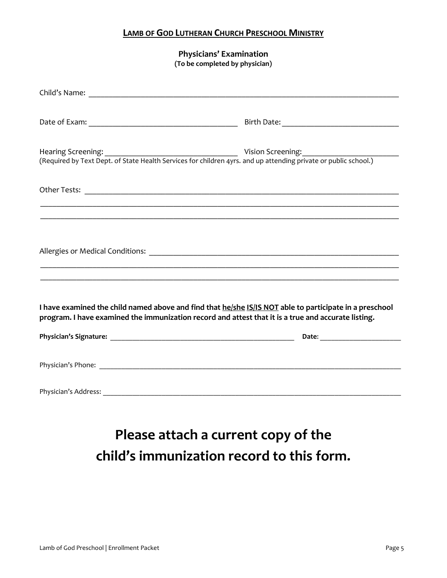**Physicians' Examination (To be completed by physician)**

| Hearing Screening: 1992.1993. Vision Screening: 1993.1994. Vision Screening: 1994.1994.1994.1994.1994.1994.199<br>(Required by Text Dept. of State Health Services for children 4yrs. and up attending private or public school.) |  |
|-----------------------------------------------------------------------------------------------------------------------------------------------------------------------------------------------------------------------------------|--|
|                                                                                                                                                                                                                                   |  |
| ,我们也不能会有什么。""我们的人,我们也不能会有什么?""我们的人,我们也不能会有什么?""我们的人,我们也不能会有什么?""我们的人,我们也不能会有什么?""                                                                                                                                                 |  |
|                                                                                                                                                                                                                                   |  |
| I have examined the child named above and find that he/she IS/IS NOT able to participate in a preschool<br>program. I have examined the immunization record and attest that it is a true and accurate listing.                    |  |
|                                                                                                                                                                                                                                   |  |
|                                                                                                                                                                                                                                   |  |
|                                                                                                                                                                                                                                   |  |

**Please attach a current copy of the child's immunization record to this form.**